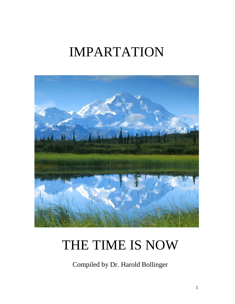# IMPARTATION



# THE TIME IS NOW

Compiled by Dr. Harold Bollinger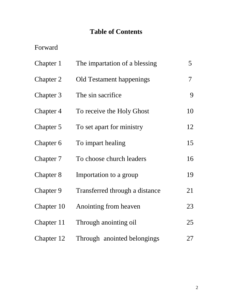# **Table of Contents**

# Forward

| Chapter 1  | The impartation of a blessing  | 5  |
|------------|--------------------------------|----|
| Chapter 2  | Old Testament happenings       | 7  |
| Chapter 3  | The sin sacrifice              | 9  |
| Chapter 4  | To receive the Holy Ghost      | 10 |
| Chapter 5  | To set apart for ministry      | 12 |
| Chapter 6  | To impart healing              | 15 |
| Chapter 7  | To choose church leaders       | 16 |
| Chapter 8  | Importation to a group         | 19 |
| Chapter 9  | Transferred through a distance | 21 |
| Chapter 10 | Anointing from heaven          | 23 |
| Chapter 11 | Through anointing oil          | 25 |
| Chapter 12 | Through anointed belongings    | 27 |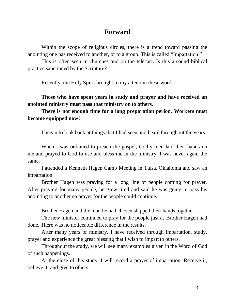# **Forward**

Within the scope of religious circles, there is a trend toward passing the anointing one has received to another, or to a group. This is called "Impartation."

This is often seen in churches and on the telecast. Is this a sound biblical practice sanctioned by the Scripture?

Recently, the Holy Spirit brought to my attention these words:

**Those who have spent years in study and prayer and have received an anointed ministry must pass that ministry on to others.**

**There is not enough time for a long preparation period. Workers must become equipped now!**

I began to look back at things that I had seen and heard throughout the years.

When I was ordained to preach the gospel, Godly men laid their hands on me and prayed to God to use and bless me in the ministry. I was never again the same.

I attended a Kenneth Hagen Camp Meeting in Tulsa, Oklahoma and saw an impartation.

Brother Hagen was praying for a long line of people coming for prayer. After praying for many people, he grew tired and said he was going to pass his anointing to another so prayer for the people could continue.

Brother Hagen and the man he had chosen slapped their hands together.

The new minister continued to pray for the people just as Brother Hagen had done. There was no noticeable difference in the results.

After many years of ministry, I have received through impartation, study, prayer and experience the great blessing that I wish to impart to others.

Throughout the study, we will see many examples given in the Word of God of such happenings.

At the close of this study, I will record a prayer of impartation. Receive it, believe it, and give to others.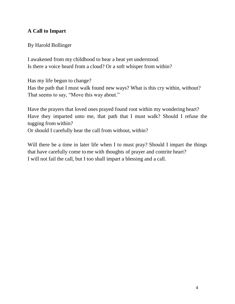### **A Call to Impart**

By Harold Bollinger

I awakened from my childhood to hear a beat yet understood. Is there a voice heard from a cloud? Or a soft whisper from within?

Has my life begun to change? Has the path that I must walk found new ways? What is this cry within, without? That seems to say, "Move this way about."

Have the prayers that loved ones prayed found root within my wondering heart? Have they imparted unto me, that path that I must walk? Should I refuse the tugging from within? Or should I carefully hear the call from without, within?

Will there be a time in later life when I to must pray? Should I impart the things that have carefully come to me with thoughts of prayer and contrite heart? I will not fail the call, but I too shall impart a blessing and a call.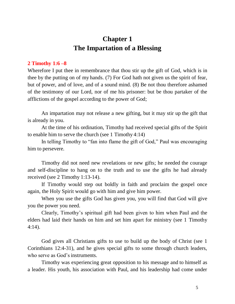# **Chapter 1 The Impartation of a Blessing**

#### **2 Timothy 1:6 –8**

Wherefore I put thee in remembrance that thou stir up the gift of God, which is in thee by the putting on of my hands. (7) For God hath not given us the spirit of fear, but of power, and of love, and of a sound mind. (8) Be not thou therefore ashamed of the testimony of our Lord, nor of me his prisoner: but be thou partaker of the afflictions of the gospel according to the power of God;

An impartation may not release a new gifting, but it may stir up the gift that is already in you.

At the time of his ordination, Timothy had received special gifts of the Spirit to enable him to serve the church (see 1 Timothy 4:14)

In telling Timothy to "fan into flame the gift of God," Paul was encouraging him to persevere.

Timothy did not need new revelations or new gifts; he needed the courage and self-discipline to hang on to the truth and to use the gifts he had already received (see 2 Timothy 1:13-14).

If Timothy would step out boldly in faith and proclaim the gospel once again, the Holy Spirit would go with him and give him power.

When you use the gifts God has given you, you will find that God will give you the power you need.

Clearly, Timothy's spiritual gift had been given to him when Paul and the elders had laid their hands on him and set him apart for ministry (see 1 Timothy 4:14).

God gives all Christians gifts to use to build up the body of Christ (see 1 Corinthians 12:4-31), and he gives special gifts to some through church leaders, who serve as God's instruments.

Timothy was experiencing great opposition to his message and to himself as a leader. His youth, his association with Paul, and his leadership had come under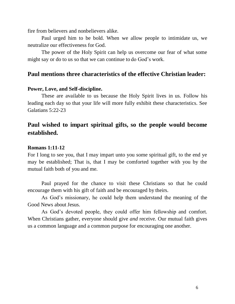fire from believers and nonbelievers alike.

Paul urged him to be bold. When we allow people to intimidate us, we neutralize our effectiveness for God.

The power of the Holy Spirit can help us overcome our fear of what some might say or do to us so that we can continue to do God's work.

### **Paul mentions three characteristics of the effective Christian leader:**

### **Power, Love, and Self-discipline.**

These are available to us because the Holy Spirit lives in us. Follow his leading each day so that your life will more fully exhibit these characteristics. See Galatians 5:22-23

## **Paul wished to impart spiritual gifts, so the people would become established.**

#### **Romans 1:11-12**

For I long to see you, that I may impart unto you some spiritual gift, to the end ye may be established; That is, that I may be comforted together with you by the mutual faith both of you and me.

Paul prayed for the chance to visit these Christians so that he could encourage them with his gift of faith and be encouraged by theirs.

As God's missionary, he could help them understand the meaning of the Good News about Jesus.

As God's devoted people, they could offer him fellowship and comfort. When Christians gather, everyone should give *and* receive. Our mutual faith gives us a common language and a common purpose for encouraging one another.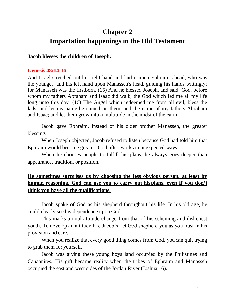# **Chapter 2 Impartation happenings in the Old Testament**

#### **Jacob blesses the children of Joseph.**

#### **Genesis 48:14-16**

And Israel stretched out his right hand and laid it upon Ephraim's head, who was the younger, and his left hand upon Manasseh's head, guiding his hands wittingly; for Manasseh was the firstborn. (15) And he blessed Joseph, and said, God, before whom my fathers Abraham and Isaac did walk, the God which fed me all my life long unto this day, (16) The Angel which redeemed me from all evil, bless the lads; and let my name be named on them, and the name of my fathers Abraham and Isaac; and let them grow into a multitude in the midst of the earth.

Jacob gave Ephraim, instead of his older brother Manasseh, the greater blessing.

When Joseph objected, Jacob refused to listen because God had told him that Ephraim would become greater. God often works in unexpected ways.

When he chooses people to fulfill his plans, he always goes deeper than appearance, tradition, or position.

### **He sometimes surprises us by choosing the less obvious person, at least by human reasoning. God can use you to carry out hisplans, even if you don't think you have all the qualifications.**

Jacob spoke of God as his shepherd throughout his life. In his old age, he could clearly see his dependence upon God.

This marks a total attitude change from that of his scheming and dishonest youth. To develop an attitude like Jacob's, let God shepherd you as you trust in his provision and care.

When you realize that every good thing comes from God, you can quit trying to grab them for yourself.

Jacob was giving these young boys land occupied by the Philistines and Canaanites. His gift became reality when the tribes of Ephraim and Manasseh occupied the east and west sides of the Jordan River (Joshua 16).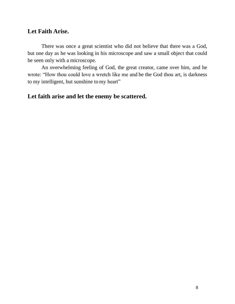## **Let Faith Arise.**

There was once a great scientist who did not believe that there was a God, but one day as he was looking in his microscope and saw a small object that could be seen only with a microscope.

An overwhelming feeling of God, the great creator, came over him, and he wrote: "How thou could love a wretch like me and be the God thou art, is darkness to my intelligent, but sunshine to my heart"

### **Let faith arise and let the enemy be scattered.**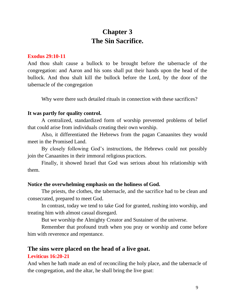# **Chapter 3 The Sin Sacrifice.**

#### **Exodus 29:10-11**

And thou shalt cause a bullock to be brought before the tabernacle of the congregation: and Aaron and his sons shall put their hands upon the head of the bullock. And thou shalt kill the bullock before the Lord, by the door of the tabernacle of the congregation

Why were there such detailed rituals in connection with these sacrifices?

### **It was partly for quality control.**

A centralized, standardized form of worship prevented problems of belief that could arise from individuals creating their own worship.

Also, it differentiated the Hebrews from the pagan Canaanites they would meet in the Promised Land.

By closely following God's instructions, the Hebrews could not possibly join the Canaanites in their immoral religious practices.

Finally, it showed Israel that God was serious about his relationship with them.

### **Notice the overwhelming emphasis on the holiness of God.**

The priests, the clothes, the tabernacle, and the sacrifice had to be clean and consecrated, prepared to meet God.

In contrast, today we tend to take God for granted, rushing into worship, and treating him with almost casual disregard.

But we worship the Almighty Creator and Sustainer of the universe.

Remember that profound truth when you pray or worship and come before him with reverence and repentance.

### **The sins were placed on the head of a live goat.**

### **Leviticus 16:20-21**

And when he hath made an end of reconciling the holy place, and the tabernacle of the congregation, and the altar, he shall bring the live goat: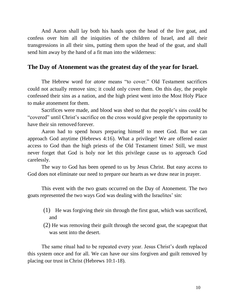And Aaron shall lay both his hands upon the head of the live goat, and confess over him all the iniquities of the children of Israel, and all their transgressions in all their sins, putting them upon the head of the goat, and shall send him away by the hand of a fit man into the wilderness:

### **The Day of Atonement was the greatest day of the year for Israel.**

The Hebrew word for *atone* means "to cover." Old Testament sacrifices could not actually remove sins; it could only cover them. On this day, the people confessed their sins as a nation, and the high priest went into the Most Holy Place to make atonement for them.

Sacrifices were made, and blood was shed so that the people's sins could be "covered" until Christ's sacrifice on the cross would give people the opportunity to have their sin removed forever.

Aaron had to spend hours preparing himself to meet God. But we can approach God anytime (Hebrews 4:16). What a privilege! We are offered easier access to God than the high priests of the Old Testament times! Still, we must never forget that God is holy nor let this privilege cause us to approach God carelessly.

The way to God has been opened to us by Jesus Christ. But easy access to God does not eliminate our need to prepare our hearts as we draw near in prayer.

This event with the two goats occurred on the Day of Atonement. The two goats represented the two ways God was dealing with the Israelites' sin:

- (1) He was forgiving their sin through the first goat, which was sacrificed, and
- (2) He was removing their guilt through the second goat, the scapegoat that was sent into the desert.

The same ritual had to be repeated every year. Jesus Christ's death replaced this system once and for all. We can have our sins forgiven and guilt removed by placing our trust in Christ (Hebrews 10:1-18).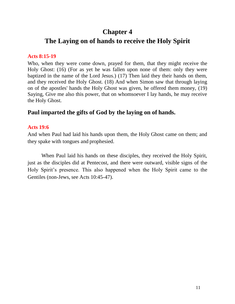# **Chapter 4**

# **The Laying on of hands to receive the Holy Spirit**

### **Acts 8:15-19**

Who, when they were come down, prayed for them, that they might receive the Holy Ghost: (16) (For as yet he was fallen upon none of them: only they were baptized in the name of the Lord Jesus.) (17) Then laid they their hands on them, and they received the Holy Ghost. (18) And when Simon saw that through laying on of the apostles' hands the Holy Ghost was given, he offered them money, (19) Saying, Give me also this power, that on whomsoever I lay hands, he may receive the Holy Ghost.

### **Paul imparted the gifts of God by the laying on of hands.**

### **Acts 19:6**

And when Paul had laid his hands upon them, the Holy Ghost came on them; and they spake with tongues and prophesied.

When Paul laid his hands on these disciples, they received the Holy Spirit, just as the disciples did at Pentecost, and there were outward, visible signs of the Holy Spirit's presence. This also happened when the Holy Spirit came to the Gentiles (non-Jews, see Acts 10:45-47).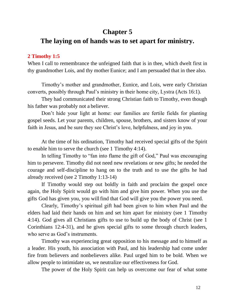# **Chapter 5**

# **The laying on of hands was to set apart for ministry.**

#### **2 Timothy 1:5**

When I call to remembrance the unfeigned faith that is in thee, which dwelt first in thy grandmother Lois, and thy mother Eunice; and I am persuaded that in thee also.

Timothy's mother and grandmother, Eunice, and Lois, were early Christian converts, possibly through Paul's ministry in their home city, Lystra (Acts 16:1).

They had communicated their strong Christian faith to Timothy, even though his father was probably not a believer.

Don't hide your light at home: our families are fertile fields for planting gospel seeds. Let your parents, children, spouse, brothers, and sisters know of your faith in Jesus, and be sure they see Christ's love, helpfulness, and joy in you.

At the time of his ordination, Timothy had received special gifts of the Spirit to enable him to serve the church (see 1 Timothy 4:14).

In telling Timothy to "fan into flame the gift of God," Paul was encouraging him to persevere. Timothy did not need new revelations or new gifts; he needed the courage and self-discipline to hang on to the truth and to use the gifts he had already received (see 2 Timothy 1:13-14)

If Timothy would step out boldly in faith and proclaim the gospel once again, the Holy Spirit would go with him and give him power. When you use the gifts God has given you, you willfind that God will give you the power you need.

Clearly, Timothy's spiritual gift had been given to him when Paul and the elders had laid their hands on him and set him apart for ministry (see 1 Timothy 4:14). God gives all Christians gifts to use to build up the body of Christ (see 1 Corinthians 12:4-31), and he gives special gifts to some through church leaders, who serve as God's instruments.

Timothy was experiencing great opposition to his message and to himself as a leader. His youth, his association with Paul, and his leadership had come under fire from believers and nonbelievers alike. Paul urged him to be bold. When we allow people to intimidate us, we neutralize our effectiveness for God.

The power of the Holy Spirit can help us overcome our fear of what some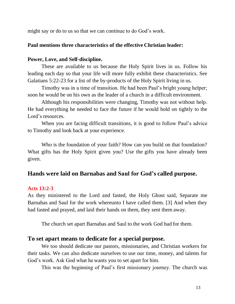might say or do to us so that we can continue to do God's work.

### **Paul mentions three characteristics of the effective Christian leader:**

#### **Power, Love, and Self-discipline.**

These are available to us because the Holy Spirit lives in us. Follow his leading each day so that your life will more fully exhibit these characteristics. See Galatians 5:22-23 for a list of the by-products of the Holy Spirit living in us.

Timothy was in a time of transition. He had been Paul's bright young helper; soon he would be on his own as the leader of a church in a difficult environment.

Although his responsibilities were changing, Timothy was not without help. He had everything he needed to face the future if he would hold on tightly to the Lord's resources.

When you are facing difficult transitions, it is good to follow Paul's advice to Timothy and look back at your experience.

Who is the foundation of your faith? How can you build on that foundation? What gifts has the Holy Spirit given you? Use the gifts you have already been given.

### **Hands were laid on Barnabas and Saul for God's called purpose.**

#### **Acts 13:2-3**

As they ministered to the Lord and fasted, the Holy Ghost said, Separate me Barnabas and Saul for the work whereunto I have called them. [3] And when they had fasted and prayed, and laid their hands on them, they sent them away.

The church set apart Barnabas and Saul to the work God had for them.

### **To set apart means to dedicate for a special purpose.**

We too should dedicate our pastors, missionaries, and Christian workers for their tasks. We can also dedicate ourselves to use our time, money, and talents for God's work. Ask God what he wants you to set apart for him.

This was the beginning of Paul's first missionary journey. The church was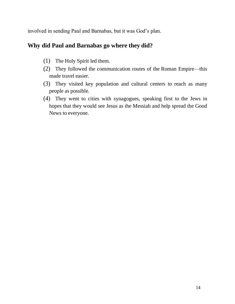involved in sending Paul and Barnabas, but it was God's plan.

# **Why did Paul and Barnabas go where they did?**

- (1) The Holy Spirit led them.
- (2) They followed the communication routes of the Roman Empire—this made travel easier.
- (3) They visited key population and cultural centers to reach as many people as possible.
- (4) They went to cities with synagogues, speaking first to the Jews in hopes that they would see Jesus as the Messiah and help spread the Good News to everyone.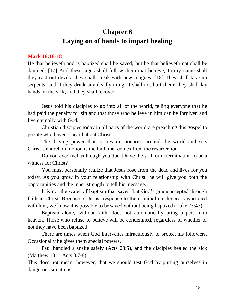# **Chapter 6 Laying on of hands to impart healing**

#### **Mark 16:16-18**

He that believeth and is baptized shall be saved; but he that believeth not shall be damned. [17] And these signs shall follow them that believe; In my name shall they cast out devils; they shall speak with new tongues; [18] They shall take up serpents; and if they drink any deadly thing, it shall not hurt them; they shall lay hands on the sick, and they shall recover.

Jesus told his disciples to go into all of the world, telling everyone that he had paid the penalty for sin and that those who believe in him can be forgiven and live eternally with God.

Christian disciples today in all parts of the world are preaching this gospel to people who haven't heard about Christ.

The driving power that carries missionaries around the world and sets Christ's church in motion is the faith that comes from the resurrection.

Do you ever feel as though you don't have the skill or determination to be a witness for Christ?

You must personally realize that Jesus rose from the dead and lives for you today. As you grow in your relationship with Christ, he will give you both the opportunities and the inner strength to tell his message.

It is not the water of baptism that saves, but God's grace accepted through faith in Christ. Because of Jesus' response to the criminal on the cross who died with him, we know it is possible to be saved without being baptized (Luke 23:43).

Baptism alone, without faith, does not automatically bring a person to heaven. Those who refuse to believe will be condemned, regardless of whether or not they have been baptized.

There are times when God intervenes miraculously to protect his followers. Occasionally he gives them special powers.

Paul handled a snake safely (Acts 28:5), and the disciples healed the sick (Matthew 10:1; Acts 3:7-8).

This does not mean, however, that we should test God by putting ourselves in dangerous situations.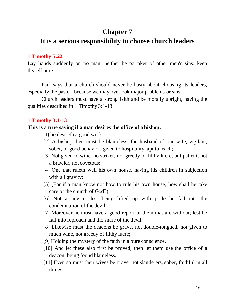# **Chapter 7**

# **It is a serious responsibility to choose church leaders**

### **1 Timothy 5:22**

Lay hands suddenly on no man, neither be partaker of other men's sins: keep thyself pure.

Paul says that a church should never be hasty about choosing its leaders, especially the pastor, because we may overlook major problems or sins.

Church leaders must have a strong faith and be morally upright, having the qualities described in 1 Timothy 3:1-13.

### **1 Timothy 3:1-13**

### **This is a true saying if a man desires the office of a bishop:**

- (1) he desireth a good work.
- [2] A bishop then must be blameless, the husband of one wife, vigilant, sober, of good behavior, given to hospitality, apt to teach;
- [3] Not given to wine, no striker, not greedy of filthy lucre; but patient, not a brawler, not covetous;
- [4] One that ruleth well his own house, having his children in subjection with all gravity;
- [5] (For if a man know not how to rule his own house, how shall he take care of the church of God?)
- [6] Not a novice, lest being lifted up with pride he fall into the condemnation of the devil.
- [7] Moreover he must have a good report of them that are without; lest he fall into reproach and the snare of the devil.
- [8] Likewise must the deacons be grave, not double-tongued, not given to much wine, not greedy of filthy lucre;
- [9] Holding the mystery of the faith in a pure conscience.
- [10] And let these also first be proved; then let them use the office of a deacon, being found blameless.
- [11] Even so must their wives be grave, not slanderers, sober, faithful in all things.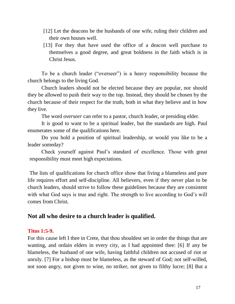- [12] Let the deacons be the husbands of one wife, ruling their children and their own houses well.
- [13] For they that have used the office of a deacon well purchase to themselves a good degree, and great boldness in the faith which is in Christ Jesus.

To be a church leader ("overseer") is a heavy responsibility because the church belongs to the living God.

Church leaders should not be elected because they are popular, nor should they be allowed to push their way to the top. Instead, they should be chosen by the church because of their respect for the truth, both in what they believe and in how they live.

The word *overseer* can refer to a pastor, church leader, or presiding elder.

It is good to want to be a spiritual leader, but the standards are high. Paul enumerates some of the qualifications here.

Do you hold a position of spiritual leadership, or would you like to be a leader someday?

Check yourself against Paul's standard of excellence. Those with great responsibility must meet high expectations.

The lists of qualifications for church office show that living a blameless and pure life requires effort and self-discipline. All believers, even if they never plan to be church leaders, should strive to follow these guidelines because they are consistent with what God says is true and right. The strength to live according to God's will comes from Christ.

### **Not all who desire to a church leader is qualified.**

### **Titus 1:5-9.**

For this cause left I thee in Crete, that thou shouldest set in order the things that are wanting, and ordain elders in every city, as I had appointed thee: [6] If any be blameless, the husband of one wife, having faithful children not accused of riot or unruly. [7] For a bishop must be blameless, as the steward of God; not self-willed, not soon angry, not given to wine, no striker, not given to filthy lucre; [8] But a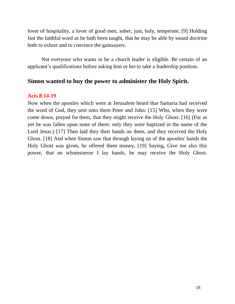lover of hospitality, a lover of good men, sober, just, holy, temperate; [9] Holding fast the faithful word as he hath been taught, that he may be able by sound doctrine both to exhort and to convince the gainsayers.

Not everyone who wants to be a church leader is eligible. Be certain of an applicant's qualifications before asking him or her to take a leadership position.

### **Simon wanted to buy the power to administer the Holy Spirit.**

### **Acts 8:14-19**

Now when the apostles which were at Jerusalem heard that Samaria had received the word of God, they sent unto them Peter and John: [15] Who, when they were come down, prayed for them, that they might receive the Holy Ghost: [16] (For as yet he was fallen upon none of them: only they were baptized in the name of the Lord Jesus.) [17] Then laid they their hands on them, and they received the Holy Ghost. [18] And when Simon saw that through laying on of the apostles' hands the Holy Ghost was given, he offered them money, [19] Saying, Give me also this power, that on whomsoever I lay hands, he may receive the Holy Ghost.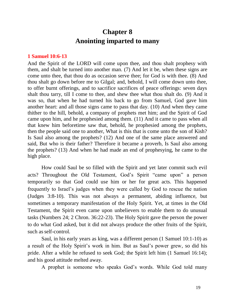# **Chapter 8 Anointing imparted to many**

#### **1 Samuel 10:6-13**

And the Spirit of the LORD will come upon thee, and thou shalt prophesy with them, and shalt be turned into another man. (7) And let it be, when these signs are come unto thee, that thou do as occasion serve thee; for God is with thee. (8) And thou shalt go down before me to Gilgal; and, behold, I will come down unto thee, to offer burnt offerings, and to sacrifice sacrifices of peace offerings: seven days shalt thou tarry, till I come to thee, and shew thee what thou shalt do. (9) And it was so, that when he had turned his back to go from Samuel, God gave him another heart: and all those signs came to pass that day. (10) And when they came thither to the hill, behold, a company of prophets met him; and the Spirit of God came upon him, and he prophesied among them. (11) And it came to pass when all that knew him beforetime saw that, behold, he prophesied among the prophets, then the people said one to another, What is this that is come unto the son of Kish? Is Saul also among the prophets? (12) And one of the same place answered and said, But who is their father? Therefore it became a proverb, Is Saul also among the prophets? (13) And when he had made an end of prophesying, he came to the high place.

How could Saul be so filled with the Spirit and yet later commit such evil acts? Throughout the Old Testament, God's Spirit "came upon" a person temporarily so that God could use him or her for great acts. This happened frequently to Israel's judges when they were called by God to rescue the nation (Judges 3:8-10). This was not always a permanent, abiding influence, but sometimes a temporary manifestation of the Holy Spirit. Yet, at times in the Old Testament, the Spirit even came upon unbelievers to enable them to do unusual tasks (Numbers 24; 2 Chron. 36:22-23). The Holy Spirit gave the person the power to do what God asked, but it did not always produce the other fruits of the Spirit, such as self-control.

Saul, in his early years as king, was a different person (1 Samuel 10:1-10) as a result of the Holy Spirit's work in him. But as Saul's power grew, so did his pride. After a while he refused to seek God; the Spirit left him (1 Samuel 16:14); and his good attitude melted away.

A prophet is someone who speaks God's words. While God told many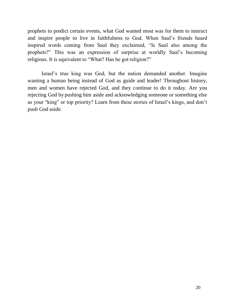prophets to predict certain events, what God wanted most was for them to instruct and inspire people to live in faithfulness to God. When Saul's friends heard inspired words coming from Saul they exclaimed, "Is Saul also among the prophets?" This was an expression of surprise at worldly Saul's becoming religious. It is equivalent to "What? Has he got religion?"

Israel's true king was God, but the nation demanded another. Imagine wanting a human being instead of God as guide and leader! Throughout history, men and women have rejected God, and they continue to do it today. Are you rejecting God by pushing him aside and acknowledging someone or something else as your "king" or top priority? Learn from these stories of Israel's kings, and don't push God aside.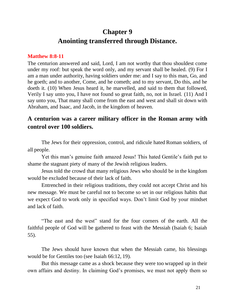# **Chapter 9 Anointing transferred through Distance.**

#### **Matthew 8:8-11**

The centurion answered and said, Lord, I am not worthy that thou shouldest come under my roof: but speak the word only, and my servant shall be healed. (9) For I am a man under authority, having soldiers under me: and I say to this man, Go, and he goeth; and to another, Come, and he cometh; and to my servant, Do this, and he doeth it. (10) When Jesus heard it, he marvelled, and said to them that followed, Verily I say unto you, I have not found so great faith, no, not in Israel. (11) And I say unto you, That many shall come from the east and west and shall sit down with Abraham, and Isaac, and Jacob, in the kingdom of heaven.

## **A centurion was a career military officer in the Roman army with control over 100 soldiers.**

The Jews for their oppression, control, and ridicule hated Roman soldiers, of all people.

Yet this man's genuine faith amazed Jesus! This hated Gentile's faith put to shame the stagnant piety of many of the Jewish religious leaders.

Jesus told the crowd that many religious Jews who should be in the kingdom would be excluded because of their lack of faith.

Entrenched in their religious traditions, they could not accept Christ and his new message. We must be careful not to become so set in our religious habits that we expect God to work only in specified ways. Don't limit God by your mindset and lack of faith.

"The east and the west" stand for the four corners of the earth. All the faithful people of God will be gathered to feast with the Messiah (Isaiah 6; Isaiah 55).

The Jews should have known that when the Messiah came, his blessings would be for Gentiles too (see Isaiah 66:12, 19).

But this message came as a shock because they were too wrapped up in their own affairs and destiny. In claiming God's promises, we must not apply them so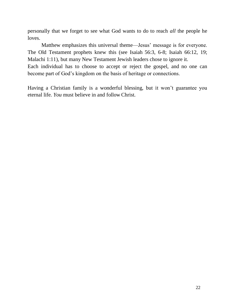personally that we forget to see what God wants to do to reach *all* the people he loves.

Matthew emphasizes this universal theme—Jesus' message is for everyone. The Old Testament prophets knew this (see Isaiah 56:3, 6-8; Isaiah 66:12, 19; Malachi 1:11), but many New Testament Jewish leaders chose to ignore it. Each individual has to choose to accept or reject the gospel, and no one can become part of God's kingdom on the basis of heritage or connections.

Having a Christian family is a wonderful blessing, but it won't guarantee you eternal life. *You* must believe in and follow Christ.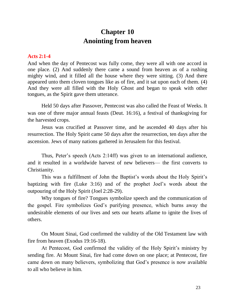# **Chapter 10 Anointing from heaven**

#### **Acts 2:1-4**

And when the day of Pentecost was fully come, they were all with one accord in one place. (2) And suddenly there came a sound from heaven as of a rushing mighty wind, and it filled all the house where they were sitting. (3) And there appeared unto them cloven tongues like as of fire, and it sat upon each of them. (4) And they were all filled with the Holy Ghost and began to speak with other tongues, as the Spirit gave them utterance.

Held 50 days after Passover, Pentecost was also called the Feast of Weeks. It was one of three major annual feasts (Deut. 16:16), a festival of thanksgiving for the harvested crops.

Jesus was crucified at Passover time, and he ascended 40 days after his resurrection. The Holy Spirit came 50 days after the resurrection, ten days after the ascension. Jews of many nations gathered in Jerusalem for this festival.

Thus, Peter's speech (Acts 2:14ff) was given to an international audience, and it resulted in a worldwide harvest of new believers— the first converts to Christianity.

This was a fulfillment of John the Baptist's words about the Holy Spirit's baptizing with fire (Luke 3:16) and of the prophet Joel's words about the outpouring of the Holy Spirit (Joel 2:28-29).

Why tongues of fire? Tongues symbolize speech and the communication of the gospel. Fire symbolizes God's purifying presence, which burns away the undesirable elements of our lives and sets our hearts aflame to ignite the lives of others.

On Mount Sinai, God confirmed the validity of the Old Testament law with fire from heaven (Exodus 19:16-18).

At Pentecost, God confirmed the validity of the Holy Spirit's ministry by sending fire. At Mount Sinai, fire had come down on one place; at Pentecost, fire came down on many believers, symbolizing that God's presence is now available to all who believe in him.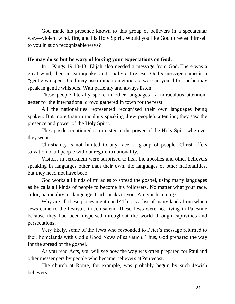God made his presence known to this group of believers in a spectacular way—violent wind, fire, and his Holy Spirit. Would you like God to reveal himself to you in such recognizable ways?

#### **He may do so but be wary of forcing your expectations on God.**

In 1 Kings 19:10-13, Elijah also needed a message from God. There was a great wind, then an earthquake, and finally a fire. But God's message came in a "gentle whisper." God may use dramatic methods to work in your life—or he may speak in gentle whispers. Wait patiently and always listen.

These people literally spoke in other languages—a miraculous attentiongetter for the international crowd gathered in town for the feast.

All the nationalities represented recognized their own languages being spoken. But more than miraculous speaking drew people's attention; they saw the presence and power of the Holy Spirit.

The apostles continued to minister in the power of the Holy Spirit wherever they went.

Christianity is not limited to any race or group of people. Christ offers salvation to all people without regard to nationality.

Visitors in Jerusalem were surprised to hear the apostles and other believers speaking in languages other than their own, the languages of other nationalities, but they need not have been.

God works all kinds of miracles to spread the gospel, using many languages as he calls all kinds of people to become his followers. No matter what your race, color, nationality, or language, God speaks to you. Are you listening?

Why are all these places mentioned? This is a list of many lands from which Jews came to the festivals in Jerusalem. These Jews were not living in Palestine because they had been dispersed throughout the world through captivities and persecutions.

Very likely, some of the Jews who responded to Peter's message returned to their homelands with God's Good News of salvation. Thus, God prepared the way for the spread of the gospel.

As you read Acts, you will see how the way was often prepared for Paul and other messengers by people who became believers at Pentecost.

The church at Rome, for example, was probably begun by such Jewish believers.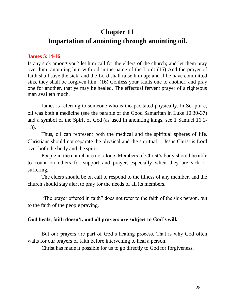# **Chapter 11 Impartation of anointing through anointing oil.**

### **James 5:14-16**

Is any sick among you? let him call for the elders of the church; and let them pray over him, anointing him with oil in the name of the Lord: (15) And the prayer of faith shall save the sick, and the Lord shall raise him up; and if he have committed sins, they shall be forgiven him. (16) Confess your faults one to another, and pray one for another, that ye may be healed. The effectual fervent prayer of a righteous man availeth much.

James is referring to someone who is incapacitated physically. In Scripture, oil was both a medicine (see the parable of the Good Samaritan in Luke 10:30-37) and a symbol of the Spirit of God (as used in anointing kings, see 1 Samuel 16:1- 13).

Thus, oil can represent both the medical and the spiritual spheres of life. Christians should not separate the physical and the spiritual— Jesus Christ is Lord over both the body and the spirit.

People in the church are not alone. Members of Christ's body should be able to count on others for support and prayer, especially when they are sick or suffering.

The elders should be on call to respond to the illness of any member, and the church should stay alert to pray for the needs of all its members.

"The prayer offered in faith" does not refer to the faith of the sick person, but to the faith of the people praying.

### **God heals, faith doesn't, and all prayers are subject to God's will.**

But our prayers are part of God's healing process. That is why God often waits for our prayers of faith before intervening to heal a person.

Christ has made it possible for us to go directly to God for forgiveness.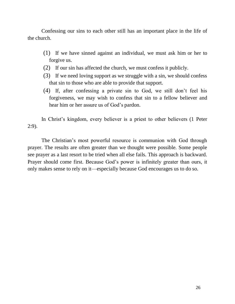Confessing our sins to each other still has an important place in the life of the church.

- (1) If we have sinned against an individual, we must ask him or her to forgive us.
- (2) If our sin has affected the church, we must confess it publicly.
- (3) If we need loving support as we struggle with a sin, we should confess that sin to those who are able to provide that support.
- (4) If, after confessing a private sin to God, we still don't feel his forgiveness, we may wish to confess that sin to a fellow believer and hear him or her assure us of God's pardon.

In Christ's kingdom, every believer is a priest to other believers (1 Peter 2:9).

The Christian's most powerful resource is communion with God through prayer. The results are often greater than we thought were possible. Some people see prayer as a last resort to be tried when all else fails. This approach is backward. Prayer should come first. Because God's power is infinitely greater than ours, it only makes sense to rely on it—especially because God encourages us to do so.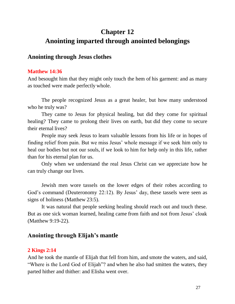# **Chapter 12 Anointing imparted through anointed belongings**

### **Anointing through Jesus clothes**

### **Matthew 14:36**

And besought him that they might only touch the hem of his garment: and as many as touched were made perfectly whole.

The people recognized Jesus as a great healer, but how many understood who he truly was?

They came to Jesus for physical healing, but did they come for spiritual healing? They came to prolong their lives on earth, but did they come to secure their eternal lives?

People may seek Jesus to learn valuable lessons from his life or in hopes of finding relief from pain. But we miss Jesus' whole message if we seek him only to heal our bodies but not our souls, if we look to him for help only in this life, rather than for his eternal plan for us.

Only when we understand the real Jesus Christ can we appreciate how he can truly change our lives.

Jewish men wore tassels on the lower edges of their robes according to God's command (Deuteronomy 22:12). By Jesus' day, these tassels were seen as signs of holiness (Matthew 23:5).

It was natural that people seeking healing should reach out and touch these. But as one sick woman learned, healing came from faith and not from Jesus' cloak (Matthew 9:19-22).

### **Anointing through Elijah's mantle**

### **2 Kings 2:14**

And he took the mantle of Elijah that fell from him, and smote the waters, and said, "Where is the Lord God of Elijah"? and when he also had smitten the waters, they parted hither and thither: and Elisha went over.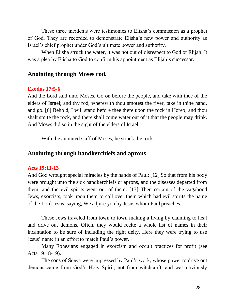These three incidents were testimonies to Elisha's commission as a prophet of God. They are recorded to demonstrate Elisha's new power and authority as Israel's chief prophet under God's ultimate power and authority.

When Elisha struck the water, it was not out of disrespect to God or Elijah. It was a plea by Elisha to God to confirm his appointment as Elijah's successor.

### **Anointing through Moses rod.**

### **Exodus 17:5-6**

And the Lord said unto Moses, Go on before the people, and take with thee of the elders of Israel; and thy rod, wherewith thou smotest the river, take in thine hand, and go. [6] Behold, I will stand before thee there upon the rock in Horeb; and thou shalt smite the rock, and there shall come water out of it that the people may drink. And Moses did so in the sight of the elders of Israel.

With the anointed staff of Moses, he struck the rock.

### **Anointing through handkerchiefs and aprons**

### **Acts 19:11-13**

And God wrought special miracles by the hands of Paul: [12] So that from his body were brought unto the sick handkerchiefs or aprons, and the diseases departed from them, and the evil spirits went out of them. [13] Then certain of the vagabond Jews, exorcists, took upon them to call over them which had evil spirits the name of the Lord Jesus, saying, We adjure you by Jesus whom Paul preaches.

These Jews traveled from town to town making a living by claiming to heal and drive out demons. Often, they would recite a whole list of names in their incantation to be sure of including the right deity. Here they were trying to use Jesus' name in an effort to match Paul's power.

Many Ephesians engaged in exorcism and occult practices for profit (see Acts 19:18-19).

The sons of Sceva were impressed by Paul's work, whose power to drive out demons came from God's Holy Spirit, not from witchcraft, and was obviously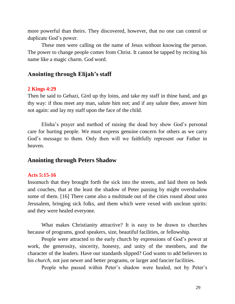more powerful than theirs. They discovered, however, that no one can control or duplicate God's power.

These men were calling on the name of Jesus without knowing the person. The power to change people comes from Christ. It cannot be tapped by reciting his name like a magic charm. God word.

### **Anointing through Elijah's staff**

#### **2 Kings 4:29**

Then he said to Gehazi, Gird up thy loins, and take my staff in thine hand, and go thy way: if thou meet any man, salute him not; and if any salute thee, answer him not again: and lay my staff upon the face of the child.

Elisha's prayer and method of raising the dead boy show God's personal care for hurting people. We must express genuine concern for others as we carry God's message to them. Only then will we faithfully represent our Father in heaven.

#### **Anointing through Peters Shadow**

#### **Acts 5:15-16**

Insomuch that they brought forth the sick into the streets, and laid them on beds and couches, that at the least the shadow of Peter passing by might overshadow some of them. [16] There came also a multitude out of the cities round about unto Jerusalem, bringing sick folks, and them which were vexed with unclean spirits: and they were healed everyone.

What makes Christianity attractive? It is easy to be drawn to churches because of programs, good speakers, size, beautiful facilities, or fellowship.

People were attracted to the early church by expressions of God's power at work, the generosity, sincerity, honesty, and unity of the members, and the character of the leaders. Have our standards slipped? God wants to add believers to his *church,* not just newer and better programs, or larger and fancier facilities.

People who passed within Peter's shadow were healed, not by Peter's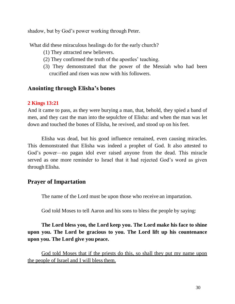shadow, but by God's power working through Peter.

What did these miraculous healings do for the early church?

- (1) They attracted new believers.
- (2) They confirmed the truth of the apostles' teaching.
- (3) They demonstrated that the power of the Messiah who had been crucified and risen was now with his followers.

# **Anointing through Elisha's bones**

## **2 Kings 13:21**

And it came to pass, as they were burying a man, that, behold, they spied a band of men, and they cast the man into the sepulchre of Elisha: and when the man was let down and touched the bones of Elisha, he revived, and stood up on his feet.

Elisha was dead, but his good influence remained, even causing miracles. This demonstrated that Elisha was indeed a prophet of God. It also attested to God's power—no pagan idol ever raised anyone from the dead. This miracle served as one more reminder to Israel that it had rejected God's word as given through Elisha.

# **Prayer of Impartation**

The name of the Lord must be upon those who receive an impartation.

God told Moses to tell Aaron and his sons to bless the people by saying:

**The Lord bless you, the Lord keep you. The Lord make his face to shine upon you. The Lord be gracious to you. The Lord lift up his countenance upon you. The Lord give you peace.**

God told Moses that if the priests do this, so shall they put my name upon the people of Israel and I will bless them.